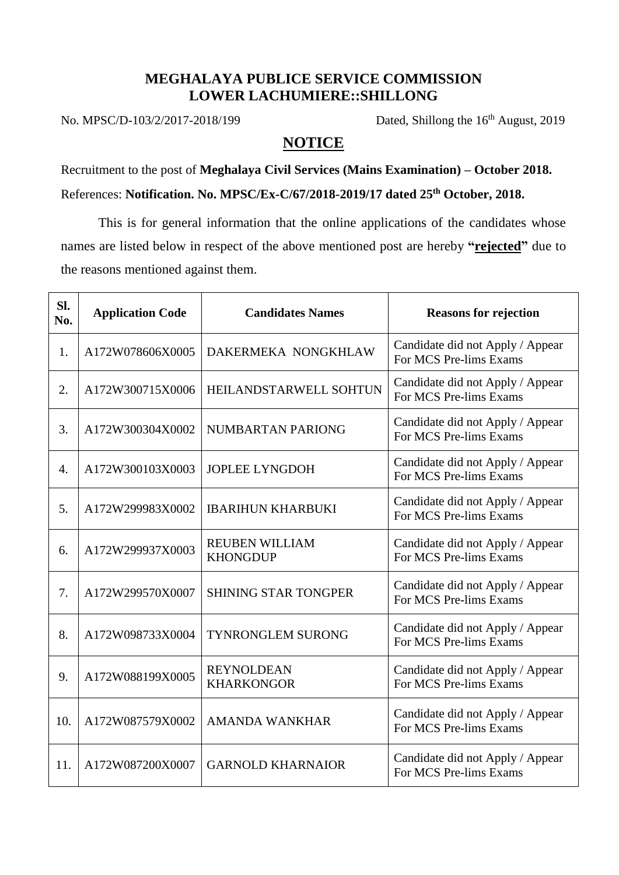## **MEGHALAYA PUBLICE SERVICE COMMISSION LOWER LACHUMIERE::SHILLONG**

No. MPSC/D-103/2/2017-2018/199 Dated, Shillong the 16<sup>th</sup> August, 2019

## **NOTICE**

Recruitment to the post of **Meghalaya Civil Services (Mains Examination) – October 2018.** References: **Notification. No. MPSC/Ex-C/67/2018-2019/17 dated 25th October, 2018.**

This is for general information that the online applications of the candidates whose names are listed below in respect of the above mentioned post are hereby **"rejected"** due to the reasons mentioned against them.

| Sl.<br>No.       | <b>Application Code</b> | <b>Candidates Names</b>                  | <b>Reasons for rejection</b>                               |
|------------------|-------------------------|------------------------------------------|------------------------------------------------------------|
| 1.               | A172W078606X0005        | DAKERMEKA NONGKHLAW                      | Candidate did not Apply / Appear<br>For MCS Pre-lims Exams |
| 2.               | A172W300715X0006        | <b>HEILANDSTARWELL SOHTUN</b>            | Candidate did not Apply / Appear<br>For MCS Pre-lims Exams |
| 3.               | A172W300304X0002        | NUMBARTAN PARIONG                        | Candidate did not Apply / Appear<br>For MCS Pre-lims Exams |
| $\overline{4}$ . | A172W300103X0003        | <b>JOPLEE LYNGDOH</b>                    | Candidate did not Apply / Appear<br>For MCS Pre-lims Exams |
| 5.               | A172W299983X0002        | <b>IBARIHUN KHARBUKI</b>                 | Candidate did not Apply / Appear<br>For MCS Pre-lims Exams |
| 6.               | A172W299937X0003        | <b>REUBEN WILLIAM</b><br><b>KHONGDUP</b> | Candidate did not Apply / Appear<br>For MCS Pre-lims Exams |
| 7.               | A172W299570X0007        | <b>SHINING STAR TONGPER</b>              | Candidate did not Apply / Appear<br>For MCS Pre-lims Exams |
| 8.               | A172W098733X0004        | <b>TYNRONGLEM SURONG</b>                 | Candidate did not Apply / Appear<br>For MCS Pre-lims Exams |
| 9.               | A172W088199X0005        | <b>REYNOLDEAN</b><br><b>KHARKONGOR</b>   | Candidate did not Apply / Appear<br>For MCS Pre-lims Exams |
| 10.              | A172W087579X0002        | <b>AMANDA WANKHAR</b>                    | Candidate did not Apply / Appear<br>For MCS Pre-lims Exams |
| 11.              | A172W087200X0007        | <b>GARNOLD KHARNAIOR</b>                 | Candidate did not Apply / Appear<br>For MCS Pre-lims Exams |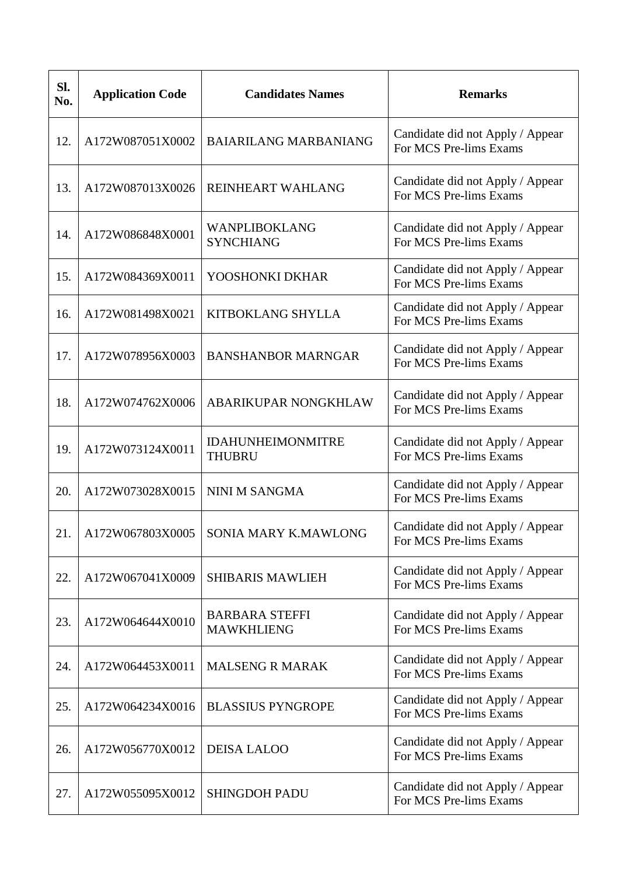| Sl.<br>No. | <b>Application Code</b> | <b>Candidates Names</b>                    | <b>Remarks</b>                                             |
|------------|-------------------------|--------------------------------------------|------------------------------------------------------------|
| 12.        | A172W087051X0002        | <b>BAIARILANG MARBANIANG</b>               | Candidate did not Apply / Appear<br>For MCS Pre-lims Exams |
| 13.        | A172W087013X0026        | REINHEART WAHLANG                          | Candidate did not Apply / Appear<br>For MCS Pre-lims Exams |
| 14.        | A172W086848X0001        | WANPLIBOKLANG<br><b>SYNCHIANG</b>          | Candidate did not Apply / Appear<br>For MCS Pre-lims Exams |
| 15.        | A172W084369X0011        | YOOSHONKI DKHAR                            | Candidate did not Apply / Appear<br>For MCS Pre-lims Exams |
| 16.        | A172W081498X0021        | KITBOKLANG SHYLLA                          | Candidate did not Apply / Appear<br>For MCS Pre-lims Exams |
| 17.        | A172W078956X0003        | <b>BANSHANBOR MARNGAR</b>                  | Candidate did not Apply / Appear<br>For MCS Pre-lims Exams |
| 18.        | A172W074762X0006        | ABARIKUPAR NONGKHLAW                       | Candidate did not Apply / Appear<br>For MCS Pre-lims Exams |
| 19.        | A172W073124X0011        | <b>IDAHUNHEIMONMITRE</b><br><b>THUBRU</b>  | Candidate did not Apply / Appear<br>For MCS Pre-lims Exams |
| 20.        | A172W073028X0015        | NINI M SANGMA                              | Candidate did not Apply / Appear<br>For MCS Pre-lims Exams |
| 21         | A172W067803X0005        | <b>SONIA MARY K.MAWLONG</b>                | Candidate did not Apply / Appear<br>For MCS Pre-lims Exams |
| 22.        | A172W067041X0009        | <b>SHIBARIS MAWLIEH</b>                    | Candidate did not Apply / Appear<br>For MCS Pre-lims Exams |
| 23.        | A172W064644X0010        | <b>BARBARA STEFFI</b><br><b>MAWKHLIENG</b> | Candidate did not Apply / Appear<br>For MCS Pre-lims Exams |
| 24.        | A172W064453X0011        | <b>MALSENG R MARAK</b>                     | Candidate did not Apply / Appear<br>For MCS Pre-lims Exams |
| 25.        | A172W064234X0016        | <b>BLASSIUS PYNGROPE</b>                   | Candidate did not Apply / Appear<br>For MCS Pre-lims Exams |
| 26.        | A172W056770X0012        | <b>DEISA LALOO</b>                         | Candidate did not Apply / Appear<br>For MCS Pre-lims Exams |
| 27.        | A172W055095X0012        | <b>SHINGDOH PADU</b>                       | Candidate did not Apply / Appear<br>For MCS Pre-lims Exams |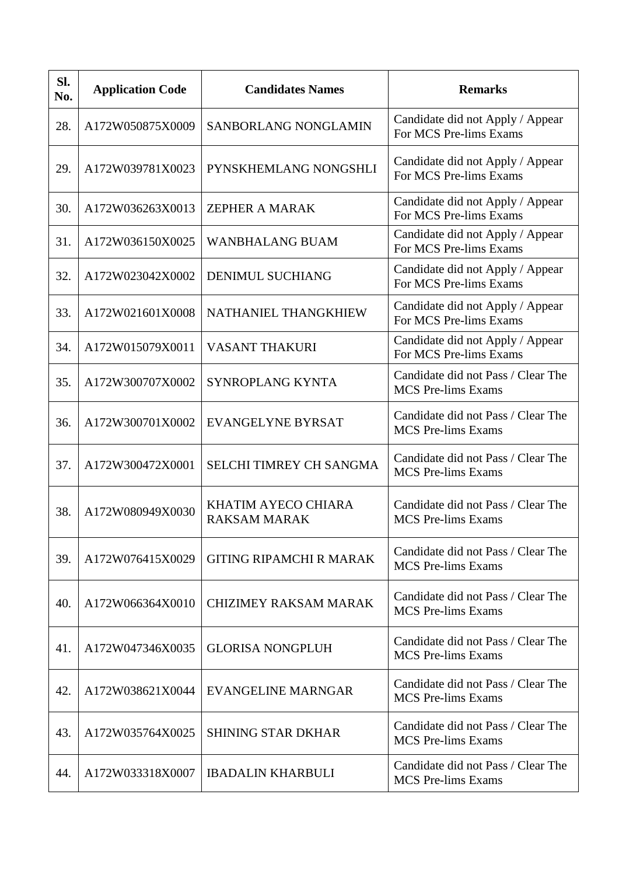| Sl.<br>No. | <b>Application Code</b> | <b>Candidates Names</b>                    | <b>Remarks</b>                                                  |
|------------|-------------------------|--------------------------------------------|-----------------------------------------------------------------|
| 28.        | A172W050875X0009        | SANBORLANG NONGLAMIN                       | Candidate did not Apply / Appear<br>For MCS Pre-lims Exams      |
| 29.        | A172W039781X0023        | PYNSKHEMLANG NONGSHLI                      | Candidate did not Apply / Appear<br>For MCS Pre-lims Exams      |
| 30.        | A172W036263X0013        | <b>ZEPHER A MARAK</b>                      | Candidate did not Apply / Appear<br>For MCS Pre-lims Exams      |
| 31.        | A172W036150X0025        | <b>WANBHALANG BUAM</b>                     | Candidate did not Apply / Appear<br>For MCS Pre-lims Exams      |
| 32.        | A172W023042X0002        | <b>DENIMUL SUCHIANG</b>                    | Candidate did not Apply / Appear<br>For MCS Pre-lims Exams      |
| 33.        | A172W021601X0008        | NATHANIEL THANGKHIEW                       | Candidate did not Apply / Appear<br>For MCS Pre-lims Exams      |
| 34.        | A172W015079X0011        | <b>VASANT THAKURI</b>                      | Candidate did not Apply / Appear<br>For MCS Pre-lims Exams      |
| 35.        | A172W300707X0002        | SYNROPLANG KYNTA                           | Candidate did not Pass / Clear The<br><b>MCS Pre-lims Exams</b> |
| 36.        | A172W300701X0002        | <b>EVANGELYNE BYRSAT</b>                   | Candidate did not Pass / Clear The<br><b>MCS Pre-lims Exams</b> |
| 37.        | A172W300472X0001        | <b>SELCHI TIMREY CH SANGMA</b>             | Candidate did not Pass / Clear The<br><b>MCS Pre-lims Exams</b> |
| 38.        | A172W080949X0030        | KHATIM AYECO CHIARA<br><b>RAKSAM MARAK</b> | Candidate did not Pass / Clear The<br><b>MCS</b> Pre-lims Exams |
| 39.        | A172W076415X0029        | <b>GITING RIPAMCHI R MARAK</b>             | Candidate did not Pass / Clear The<br><b>MCS Pre-lims Exams</b> |
| 40.        | A172W066364X0010        | <b>CHIZIMEY RAKSAM MARAK</b>               | Candidate did not Pass / Clear The<br><b>MCS Pre-lims Exams</b> |
| 41.        | A172W047346X0035        | <b>GLORISA NONGPLUH</b>                    | Candidate did not Pass / Clear The<br><b>MCS Pre-lims Exams</b> |
| 42.        | A172W038621X0044        | <b>EVANGELINE MARNGAR</b>                  | Candidate did not Pass / Clear The<br><b>MCS Pre-lims Exams</b> |
| 43.        | A172W035764X0025        | <b>SHINING STAR DKHAR</b>                  | Candidate did not Pass / Clear The<br><b>MCS</b> Pre-lims Exams |
| 44.        | A172W033318X0007        | <b>IBADALIN KHARBULI</b>                   | Candidate did not Pass / Clear The<br><b>MCS</b> Pre-lims Exams |